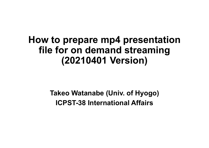# **How to prepare mp4 presentation file for on demand streaming (20210401 Version)**

**Takeo Watanabe (Univ. of Hyogo) ICPST-38 International Affairs**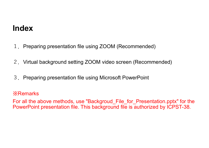## **Index**

- 1. Preparing presentation file using ZOOM (Recommended)
- 2. Virtual background setting ZOOM video screen (Recommended)
- 3. Preparing presentation file using Microsoft PowerPoint

#### ※Remarks

For all the above methods, use "Backgroud\_File\_for\_Presentation.pptx" for the PowerPoint presentation file. This background file is authorized by ICPST-38.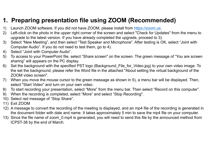### **1. Preparing presentation file using ZOOM (Recommended)**

- 1) Launch ZOOM software. If you did not have ZOOM, please install from https://zoom.us.
- 2) Left-click on the photo in the upper right corner of the screen and select "Check for Updates" from the menu to upgrade to the latest version. If you have already completed the upgrade, proceed to 3).
- 3) Select "New Meeting", and then select "Test Speaker and Microphone". After testing is OK, select "Joint with Computer Audio". If you do not need to test them, go to 4).
- 4) Select "Joint with Computer Audio".
- 5) To access to your PowerPoint file, select "Share screen" on the screen. The green message of "You are screen sharing" will appears on the PC display.
- 6) Set the background with the specified PST logo (Background\_File\_for\_Video.jpg) to your own video image. To the set the background, please refer the Word file in the attached "About setting the virtual background of the ZOOM video screen".
- 7) When you move the mouse cursor to the green message as shown in 5), a menu bar will be displayed. Then, select "Start Video" and turn on your own video.
- 8) To start recording your presentation, select "More" from the menu bar. Then select "Record on this computer".
- 9) When the recording is completed, select "More" and select "Stop Recording".
- 10) Select red message of "Stop Share".
- 11) Exit ZOOM
- 12) A message to convert the recording of the meeting is displayed, and an mp4 file of the recording is generated in the document folder with date and name. It takes approximately 5 min to save the mp4 file on your computer.
- 13) Since the file name of zoom 0.mp4 is generated, you will need to send this file by the announced method from ICPST-38 by the end of March.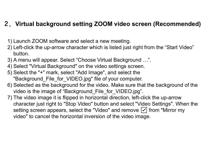#### **2.Virtual background setting ZOOM video screen (Recommended)**

- 1) Launch ZOOM software and select a new meeting.
- 2) Left-click the up-arrow character which is listed just right from the "Start Video" button.
- 3) A menu will appear. Select "Choose Virtual Background …".
- 4) Select "Virtual Background" on the video settings screen.
- 5) Select the "+" mark, select "Add Image", and select the "Background File for VIDEO.jpg" file of your computer.
- 6) Selected as the background for the video. Make sure that the background of the video is the image of "Background\_File\_for\_VIDEO.jpg".
- 7) The video image it is flipped in horizontal direction, left-click the up-arrow character just right to "Stop Video" button and select "Video Settings". When the setting screen appears, select the "Video" and remove  $\boxed{\checkmark}$  from "Mirror my video" to cancel the horizontal inversion of the video image.